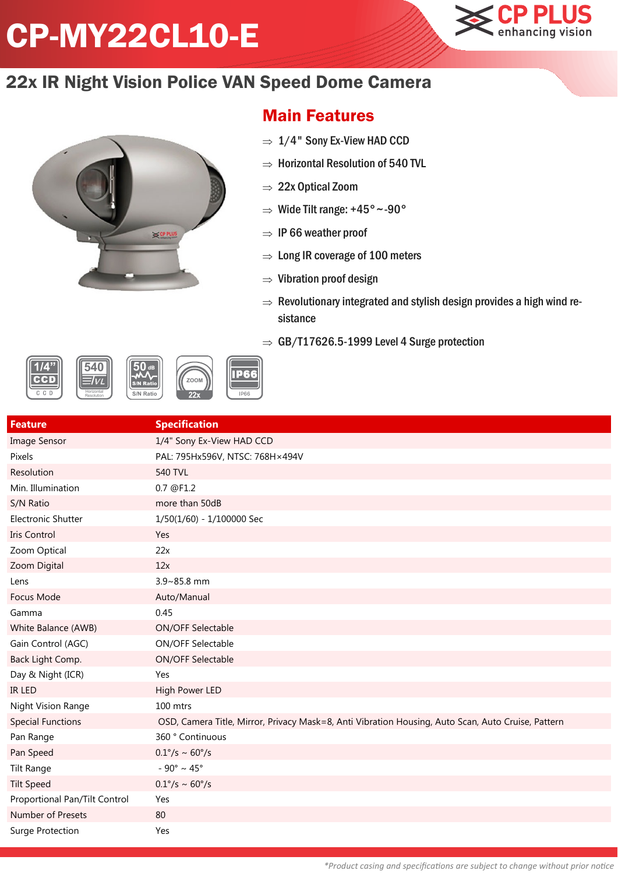## CP-MY22CL10-E



## 22x IR Night Vision Police VAN Speed Dome Camera



## Main Features

- $\Rightarrow$  1/4" Sony Ex-View HAD CCD
- $\Rightarrow$  Horizontal Resolution of 540 TVL
- $\Rightarrow$  22x Optical Zoom
- $\Rightarrow$  Wide Tilt range: +45° ~-90°
- $\Rightarrow$  IP 66 weather proof
- $\Rightarrow$  Long IR coverage of 100 meters
- $\Rightarrow$  Vibration proof design
- $\Rightarrow$  Revolutionary integrated and stylish design provides a high wind resistance
- $\Rightarrow$  GB/T17626.5-1999 Level 4 Surge protection



| <b>Feature</b>                | <b>Specification</b>                                                                               |
|-------------------------------|----------------------------------------------------------------------------------------------------|
| <b>Image Sensor</b>           | 1/4" Sony Ex-View HAD CCD                                                                          |
| Pixels                        | PAL: 795Hx596V, NTSC: 768H×494V                                                                    |
| Resolution                    | <b>540 TVL</b>                                                                                     |
| Min. Illumination             | 0.7 @F1.2                                                                                          |
| S/N Ratio                     | more than 50dB                                                                                     |
| <b>Electronic Shutter</b>     | 1/50(1/60) - 1/100000 Sec                                                                          |
| Iris Control                  | Yes                                                                                                |
| Zoom Optical                  | 22x                                                                                                |
| Zoom Digital                  | 12x                                                                                                |
| Lens                          | 3.9~85.8 mm                                                                                        |
| Focus Mode                    | Auto/Manual                                                                                        |
| Gamma                         | 0.45                                                                                               |
| White Balance (AWB)           | ON/OFF Selectable                                                                                  |
| Gain Control (AGC)            | ON/OFF Selectable                                                                                  |
| Back Light Comp.              | <b>ON/OFF Selectable</b>                                                                           |
| Day & Night (ICR)             | Yes                                                                                                |
| <b>IR LED</b>                 | High Power LED                                                                                     |
| Night Vision Range            | 100 mtrs                                                                                           |
| <b>Special Functions</b>      | OSD, Camera Title, Mirror, Privacy Mask=8, Anti Vibration Housing, Auto Scan, Auto Cruise, Pattern |
| Pan Range                     | 360 ° Continuous                                                                                   |
| Pan Speed                     | $0.1^{\circ}/s \sim 60^{\circ}/s$                                                                  |
| <b>Tilt Range</b>             | - 90° ~ 45°                                                                                        |
| <b>Tilt Speed</b>             | $0.1^{\circ}/s \sim 60^{\circ}/s$                                                                  |
| Proportional Pan/Tilt Control | Yes                                                                                                |
| Number of Presets             | 80                                                                                                 |
| Surge Protection              | Yes                                                                                                |